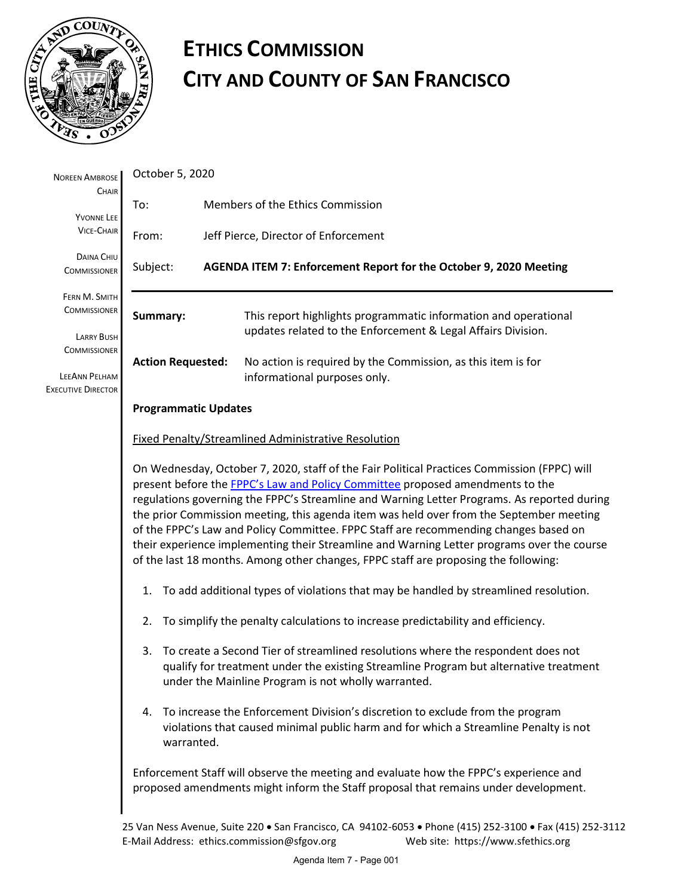

# **ETHICS COMMISSION CITY AND COUNTY OF SAN FRANCISCO**

| <b>NOREEN AMBROSE</b><br>CHAIR                                           | October 5, 2020                                                                                                                                                                                                                                                                                                                                                                                                                                                                                                                                                                                                                                     |                                                                                                                                                                                                                                  |  |  |  |  |  |  |
|--------------------------------------------------------------------------|-----------------------------------------------------------------------------------------------------------------------------------------------------------------------------------------------------------------------------------------------------------------------------------------------------------------------------------------------------------------------------------------------------------------------------------------------------------------------------------------------------------------------------------------------------------------------------------------------------------------------------------------------------|----------------------------------------------------------------------------------------------------------------------------------------------------------------------------------------------------------------------------------|--|--|--|--|--|--|
| <b>YVONNE LEE</b>                                                        | To:                                                                                                                                                                                                                                                                                                                                                                                                                                                                                                                                                                                                                                                 | Members of the Ethics Commission                                                                                                                                                                                                 |  |  |  |  |  |  |
| <b>VICE-CHAIR</b>                                                        | From:                                                                                                                                                                                                                                                                                                                                                                                                                                                                                                                                                                                                                                               | Jeff Pierce, Director of Enforcement                                                                                                                                                                                             |  |  |  |  |  |  |
| DAINA CHIU<br><b>COMMISSIONER</b>                                        | Subject:                                                                                                                                                                                                                                                                                                                                                                                                                                                                                                                                                                                                                                            | AGENDA ITEM 7: Enforcement Report for the October 9, 2020 Meeting                                                                                                                                                                |  |  |  |  |  |  |
| FERN M. SMITH<br><b>COMMISSIONER</b><br><b>LARRY BUSH</b>                | Summary:<br>This report highlights programmatic information and operational<br>updates related to the Enforcement & Legal Affairs Division.                                                                                                                                                                                                                                                                                                                                                                                                                                                                                                         |                                                                                                                                                                                                                                  |  |  |  |  |  |  |
| <b>COMMISSIONER</b><br><b>LEEANN PELHAM</b><br><b>EXECUTIVE DIRECTOR</b> | <b>Action Requested:</b>                                                                                                                                                                                                                                                                                                                                                                                                                                                                                                                                                                                                                            | No action is required by the Commission, as this item is for<br>informational purposes only.                                                                                                                                     |  |  |  |  |  |  |
|                                                                          | <b>Programmatic Updates</b>                                                                                                                                                                                                                                                                                                                                                                                                                                                                                                                                                                                                                         |                                                                                                                                                                                                                                  |  |  |  |  |  |  |
|                                                                          | <b>Fixed Penalty/Streamlined Administrative Resolution</b>                                                                                                                                                                                                                                                                                                                                                                                                                                                                                                                                                                                          |                                                                                                                                                                                                                                  |  |  |  |  |  |  |
|                                                                          | On Wednesday, October 7, 2020, staff of the Fair Political Practices Commission (FPPC) will<br>present before the FPPC's Law and Policy Committee proposed amendments to the<br>regulations governing the FPPC's Streamline and Warning Letter Programs. As reported during<br>the prior Commission meeting, this agenda item was held over from the September meeting<br>of the FPPC's Law and Policy Committee. FPPC Staff are recommending changes based on<br>their experience implementing their Streamline and Warning Letter programs over the course<br>of the last 18 months. Among other changes, FPPC staff are proposing the following: |                                                                                                                                                                                                                                  |  |  |  |  |  |  |
|                                                                          | To add additional types of violations that may be handled by streamlined resolution.<br>1.                                                                                                                                                                                                                                                                                                                                                                                                                                                                                                                                                          |                                                                                                                                                                                                                                  |  |  |  |  |  |  |
|                                                                          | To simplify the penalty calculations to increase predictability and efficiency.<br>2.                                                                                                                                                                                                                                                                                                                                                                                                                                                                                                                                                               |                                                                                                                                                                                                                                  |  |  |  |  |  |  |
|                                                                          | 3.                                                                                                                                                                                                                                                                                                                                                                                                                                                                                                                                                                                                                                                  | To create a Second Tier of streamlined resolutions where the respondent does not<br>qualify for treatment under the existing Streamline Program but alternative treatment<br>under the Mainline Program is not wholly warranted. |  |  |  |  |  |  |
|                                                                          | warranted.                                                                                                                                                                                                                                                                                                                                                                                                                                                                                                                                                                                                                                          | 4. To increase the Enforcement Division's discretion to exclude from the program<br>violations that caused minimal public harm and for which a Streamline Penalty is not                                                         |  |  |  |  |  |  |
|                                                                          | Enforcement Staff will observe the meeting and evaluate how the FPPC's experience and<br>proposed amendments might inform the Staff proposal that remains under development.                                                                                                                                                                                                                                                                                                                                                                                                                                                                        |                                                                                                                                                                                                                                  |  |  |  |  |  |  |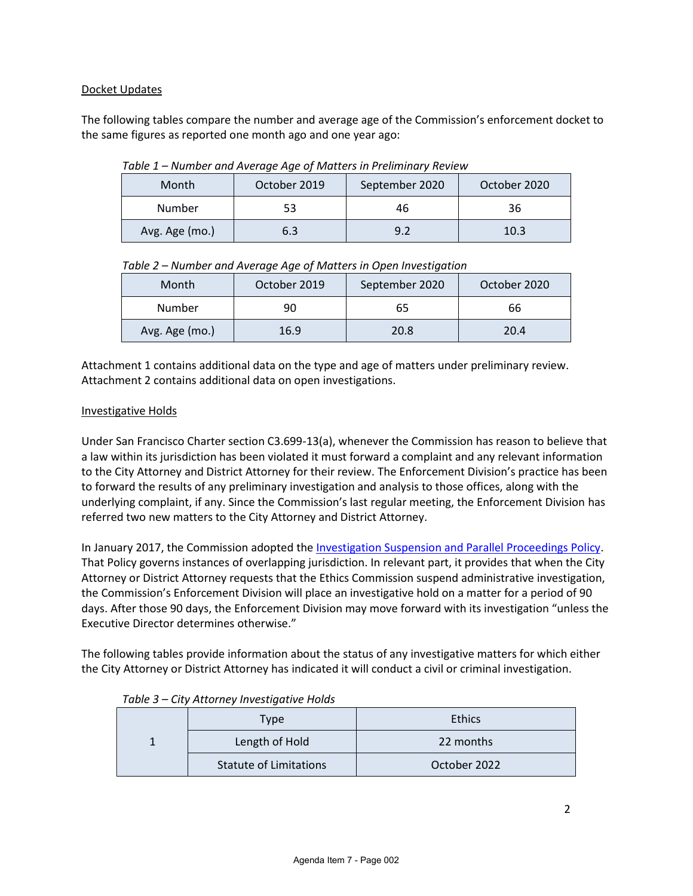## Docket Updates

The following tables compare the number and average age of the Commission's enforcement docket to the same figures as reported one month ago and one year ago:

| Month          | October 2019 | September 2020 | October 2020 |
|----------------|--------------|----------------|--------------|
| Number         | 53           | 46             | 36           |
| Avg. Age (mo.) | 6.3          | 9.2            | 10.3         |

*Table 1 – Number and Average Age of Matters in Preliminary Review*

| Table 2 - Number and Average Age of Matters in Open Investigation |  |  |
|-------------------------------------------------------------------|--|--|
|                                                                   |  |  |

| Month          | October 2019 | September 2020 | October 2020 |
|----------------|--------------|----------------|--------------|
| Number         | 90           | 65             | 66           |
| Avg. Age (mo.) | 16.9         | 20.8           | 20.4         |

Attachment 1 contains additional data on the type and age of matters under preliminary review. Attachment 2 contains additional data on open investigations.

## Investigative Holds

Under San Francisco Charter section C3.699-13(a), whenever the Commission has reason to believe that a law within its jurisdiction has been violated it must forward a complaint and any relevant information to the City Attorney and District Attorney for their review. The Enforcement Division's practice has been to forward the results of any preliminary investigation and analysis to those offices, along with the underlying complaint, if any. Since the Commission's last regular meeting, the Enforcement Division has referred two new matters to the City Attorney and District Attorney.

In January 2017, the Commission adopted the [Investigation Suspension and Parallel Proceedings Policy.](https://sfethics.org/enforcement/file-a-complaint/investigation-of-the-complaint/investigation-suspension-and-parallel-proceedings-policy) That Policy governs instances of overlapping jurisdiction. In relevant part, it provides that when the City Attorney or District Attorney requests that the Ethics Commission suspend administrative investigation, the Commission's Enforcement Division will place an investigative hold on a matter for a period of 90 days. After those 90 days, the Enforcement Division may move forward with its investigation "unless the Executive Director determines otherwise."

The following tables provide information about the status of any investigative matters for which either the City Attorney or District Attorney has indicated it will conduct a civil or criminal investigation.

| --- - -<br>Type               | <b>Ethics</b> |  |  |
|-------------------------------|---------------|--|--|
| Length of Hold                | 22 months     |  |  |
| <b>Statute of Limitations</b> | October 2022  |  |  |

|  |  |  |  |  | Table 3 – City Attorney Investigative Holds |  |
|--|--|--|--|--|---------------------------------------------|--|
|--|--|--|--|--|---------------------------------------------|--|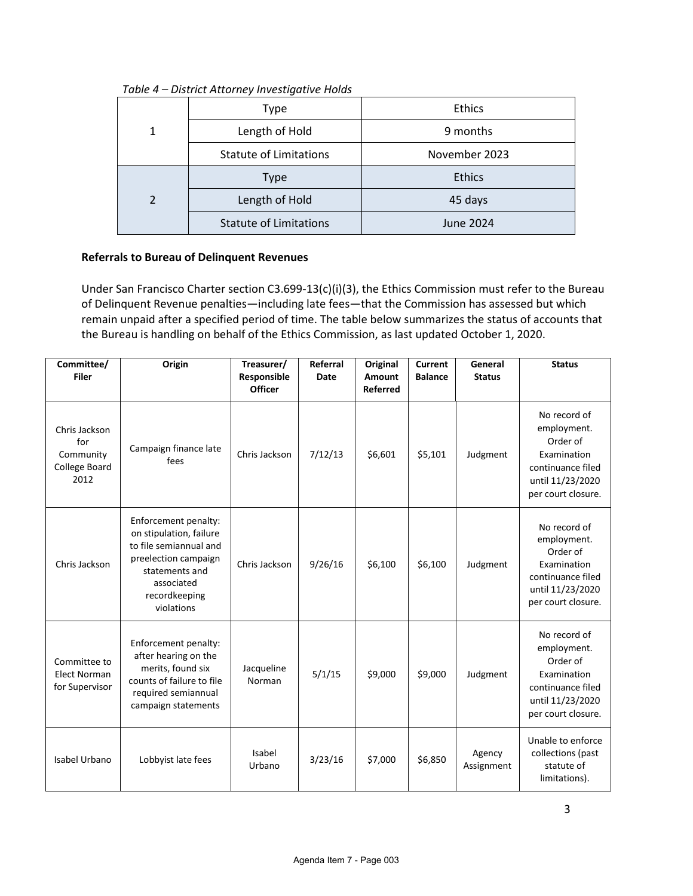## *Table 4 – District Attorney Investigative Holds*

|               | <b>Type</b>                   | <b>Ethics</b> |  |  |
|---------------|-------------------------------|---------------|--|--|
| 1             | Length of Hold                | 9 months      |  |  |
|               | <b>Statute of Limitations</b> | November 2023 |  |  |
|               | <b>Type</b>                   | <b>Ethics</b> |  |  |
| $\mathcal{D}$ | Length of Hold                | 45 days       |  |  |
|               | <b>Statute of Limitations</b> | June 2024     |  |  |

# **Referrals to Bureau of Delinquent Revenues**

Under San Francisco Charter section C3.699-13(c)(i)(3), the Ethics Commission must refer to the Bureau of Delinquent Revenue penalties—including late fees—that the Commission has assessed but which remain unpaid after a specified period of time. The table below summarizes the status of accounts that the Bureau is handling on behalf of the Ethics Commission, as last updated October 1, 2020.

| Committee/<br><b>Filer</b>                                 | Origin                                                                                                                                                           | Treasurer/<br>Responsible<br><b>Officer</b> | Referral<br><b>Date</b> | Original<br>Amount<br><b>Referred</b> | <b>Current</b><br><b>Balance</b> | General<br><b>Status</b> | <b>Status</b>                                                                                                         |
|------------------------------------------------------------|------------------------------------------------------------------------------------------------------------------------------------------------------------------|---------------------------------------------|-------------------------|---------------------------------------|----------------------------------|--------------------------|-----------------------------------------------------------------------------------------------------------------------|
| Chris Jackson<br>for<br>Community<br>College Board<br>2012 | Campaign finance late<br>fees                                                                                                                                    | Chris Jackson                               | 7/12/13                 | \$6,601                               | \$5,101                          | Judgment                 | No record of<br>employment.<br>Order of<br>Examination<br>continuance filed<br>until 11/23/2020<br>per court closure. |
| Chris Jackson                                              | Enforcement penalty:<br>on stipulation, failure<br>to file semiannual and<br>preelection campaign<br>statements and<br>associated<br>recordkeeping<br>violations | Chris Jackson                               | 9/26/16                 | \$6,100                               | \$6,100                          | Judgment                 | No record of<br>employment.<br>Order of<br>Examination<br>continuance filed<br>until 11/23/2020<br>per court closure. |
| Committee to<br><b>Elect Norman</b><br>for Supervisor      | Enforcement penalty:<br>after hearing on the<br>merits, found six<br>counts of failure to file<br>required semiannual<br>campaign statements                     | Jacqueline<br>Norman                        | 5/1/15                  | \$9,000                               | \$9,000                          | Judgment                 | No record of<br>employment.<br>Order of<br>Examination<br>continuance filed<br>until 11/23/2020<br>per court closure. |
| Isabel Urbano                                              | Lobbyist late fees                                                                                                                                               | Isabel<br>Urbano                            | 3/23/16                 | \$7,000                               | \$6,850                          | Agency<br>Assignment     | Unable to enforce<br>collections (past<br>statute of<br>limitations).                                                 |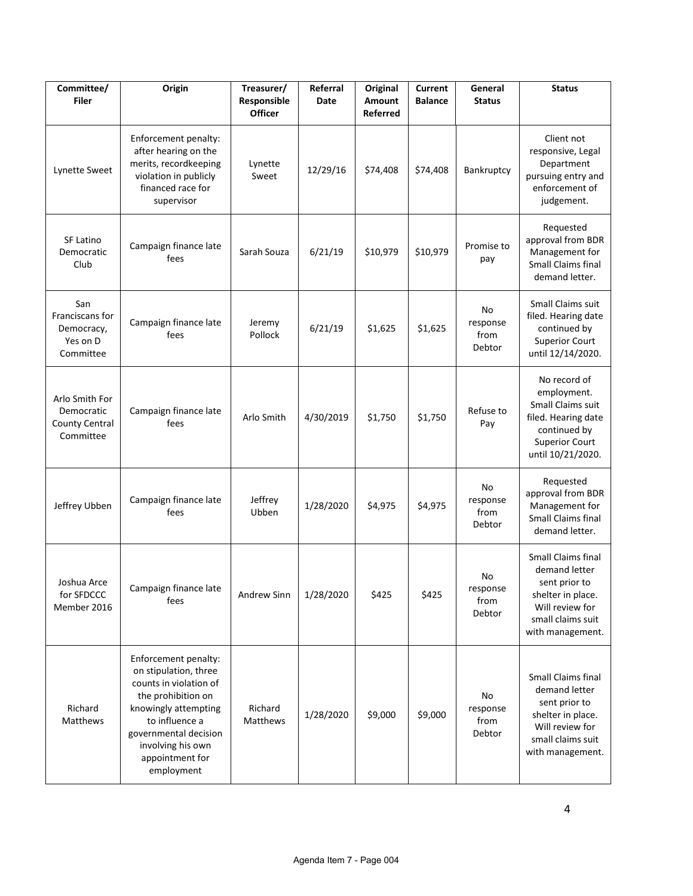| Committee/<br><b>Filer</b>                                         | Origin                                                                                                                                                                                                                 | Treasurer/<br>Responsible<br><b>Officer</b> | Referral<br>Date | Original<br>Amount<br><b>Referred</b> | <b>Current</b><br><b>Balance</b> | General<br><b>Status</b>         | <b>Status</b>                                                                                                                         |
|--------------------------------------------------------------------|------------------------------------------------------------------------------------------------------------------------------------------------------------------------------------------------------------------------|---------------------------------------------|------------------|---------------------------------------|----------------------------------|----------------------------------|---------------------------------------------------------------------------------------------------------------------------------------|
| Lynette Sweet                                                      | Enforcement penalty:<br>after hearing on the<br>merits, recordkeeping<br>violation in publicly<br>financed race for<br>supervisor                                                                                      | Lynette<br>Sweet                            | 12/29/16         | \$74,408                              | \$74,408                         | Bankruptcy                       | Client not<br>responsive, Legal<br>Department<br>pursuing entry and<br>enforcement of<br>judgement.                                   |
| SF Latino<br>Democratic<br>Club                                    | Campaign finance late<br>fees                                                                                                                                                                                          | Sarah Souza                                 | 6/21/19          | \$10,979                              | \$10,979                         | Promise to<br>pay                | Requested<br>approval from BDR<br>Management for<br><b>Small Claims final</b><br>demand letter.                                       |
| San<br>Franciscans for<br>Democracy,<br>Yes on D<br>Committee      | Campaign finance late<br>fees                                                                                                                                                                                          | Jeremy<br>Pollock                           | 6/21/19          | \$1,625                               | \$1,625                          | No<br>response<br>from<br>Debtor | Small Claims suit<br>filed. Hearing date<br>continued by<br><b>Superior Court</b><br>until 12/14/2020.                                |
| Arlo Smith For<br>Democratic<br><b>County Central</b><br>Committee | Campaign finance late<br>fees                                                                                                                                                                                          | Arlo Smith                                  | 4/30/2019        | \$1,750                               | \$1,750                          | Refuse to<br>Pay                 | No record of<br>employment.<br>Small Claims suit<br>filed. Hearing date<br>continued by<br><b>Superior Court</b><br>until 10/21/2020. |
| Jeffrey Ubben                                                      | Campaign finance late<br>fees                                                                                                                                                                                          | Jeffrey<br>Ubben                            | 1/28/2020        | \$4,975                               | \$4,975                          | No<br>response<br>from<br>Debtor | Requested<br>approval from BDR<br>Management for<br><b>Small Claims final</b><br>demand letter.                                       |
| Joshua Arce<br>for SFDCCC<br>Member 2016                           | Campaign finance late<br>fees                                                                                                                                                                                          | Andrew Sinn                                 | 1/28/2020        | \$425                                 | \$425                            | No<br>response<br>from<br>Debtor | Small Claims final<br>demand letter<br>sent prior to<br>shelter in place.<br>Will review for<br>small claims suit<br>with management. |
| Richard<br>Matthews                                                | Enforcement penalty:<br>on stipulation, three<br>counts in violation of<br>the prohibition on<br>knowingly attempting<br>to influence a<br>governmental decision<br>involving his own<br>appointment for<br>employment | Richard<br>Matthews                         | 1/28/2020        | \$9,000                               | \$9,000                          | No<br>response<br>from<br>Debtor | Small Claims final<br>demand letter<br>sent prior to<br>shelter in place.<br>Will review for<br>small claims suit<br>with management. |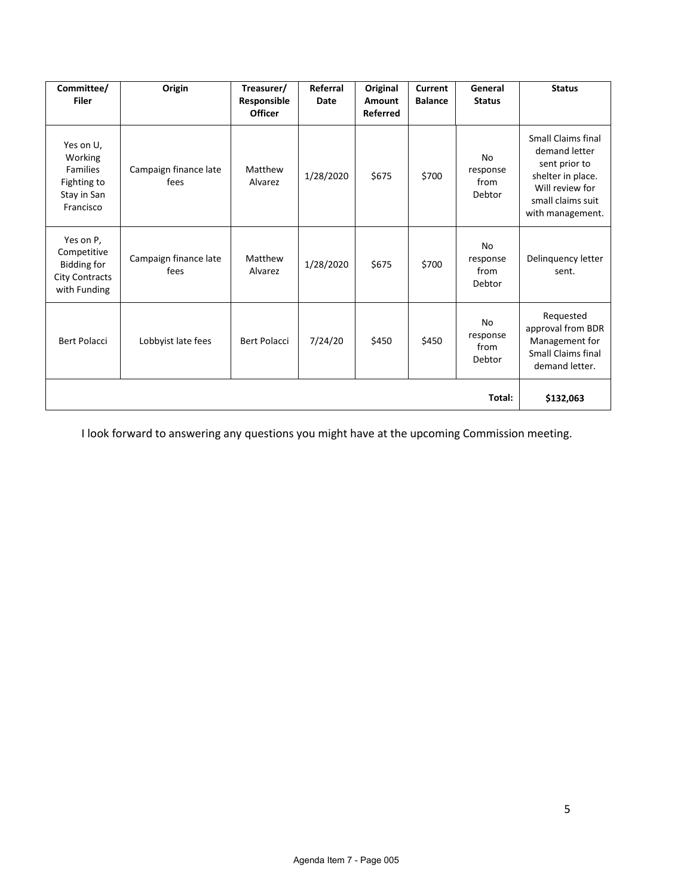| Committee/<br><b>Filer</b>                                                              | Origin                        | Treasurer/<br>Responsible<br><b>Officer</b> | Referral<br>Date | Original<br>Amount<br><b>Referred</b> | Current<br><b>Balance</b> | General<br><b>Status</b>                | <b>Status</b>                                                                                                                                |
|-----------------------------------------------------------------------------------------|-------------------------------|---------------------------------------------|------------------|---------------------------------------|---------------------------|-----------------------------------------|----------------------------------------------------------------------------------------------------------------------------------------------|
| Yes on U,<br>Working<br><b>Families</b><br>Fighting to<br>Stay in San<br>Francisco      | Campaign finance late<br>fees | Matthew<br>Alvarez                          | 1/28/2020        | \$675                                 | \$700                     | No<br>response<br>from<br>Debtor        | <b>Small Claims final</b><br>demand letter<br>sent prior to<br>shelter in place.<br>Will review for<br>small claims suit<br>with management. |
| Yes on P,<br>Competitive<br><b>Bidding for</b><br><b>City Contracts</b><br>with Funding | Campaign finance late<br>fees | Matthew<br>Alvarez                          | 1/28/2020        | \$675                                 | \$700                     | <b>No</b><br>response<br>from<br>Debtor | Delinquency letter<br>sent.                                                                                                                  |
| <b>Bert Polacci</b>                                                                     | Lobbyist late fees            | <b>Bert Polacci</b>                         | 7/24/20          | \$450                                 | \$450                     | <b>No</b><br>response<br>from<br>Debtor | Requested<br>approval from BDR<br>Management for<br><b>Small Claims final</b><br>demand letter.                                              |
|                                                                                         | \$132,063                     |                                             |                  |                                       |                           |                                         |                                                                                                                                              |

I look forward to answering any questions you might have at the upcoming Commission meeting.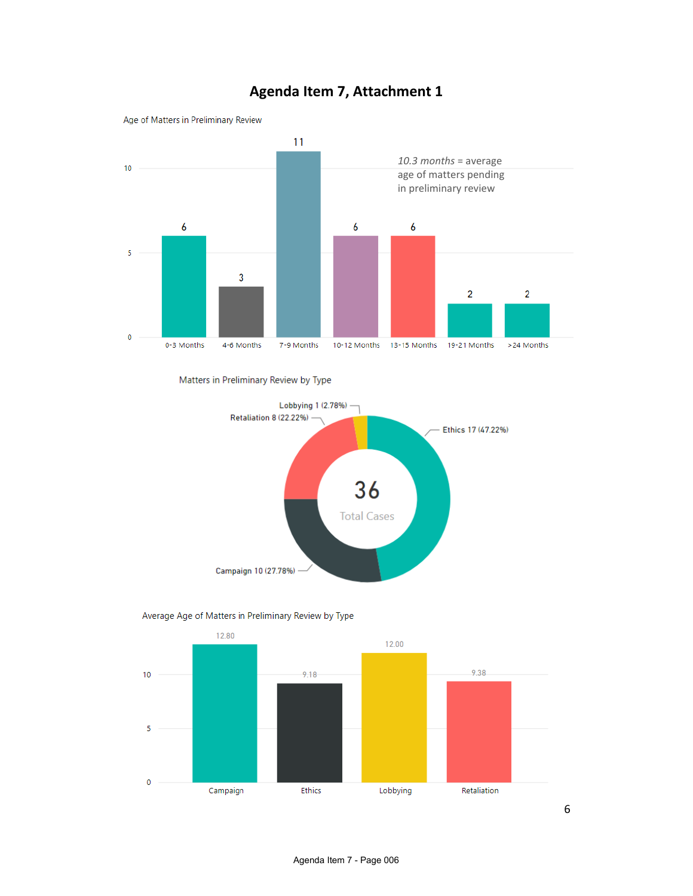

# **Agenda Item 7, Attachment 1**

Matters in Preliminary Review by Type





#### Average Age of Matters in Preliminary Review by Type